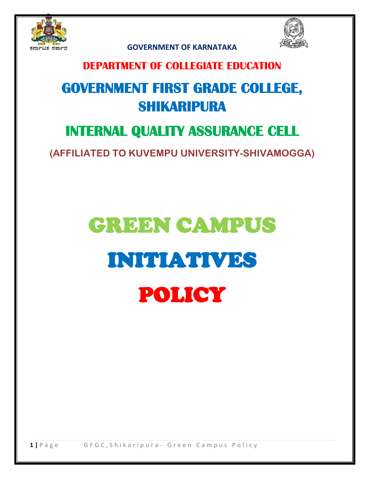



 **GOVERNMENT OF KARNATAKA** 

### **DEPARTMENT OF COLLEGIATE EDUCATION**

## **GOVERNMENT FIRST GRADE COLLEGE, SHIKARIPURA**

### **INTERNAL QUALITY ASSURANCE CELL**

**(AFFILIATED TO KUVEMPU UNIVERSITY-SHIVAMOGGA)**

# GREEN CAMPUS INITIATIVES POLICY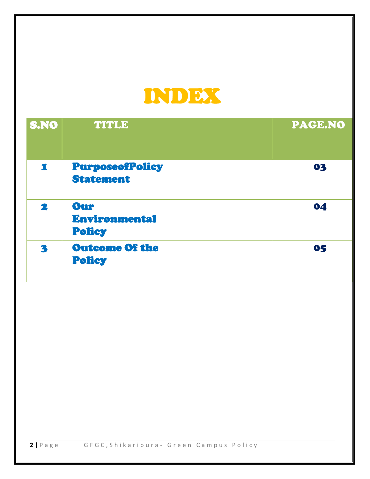

Ξ

| S.NO        | <b>TITLE</b>                               | <b>PAGE.NO</b> |
|-------------|--------------------------------------------|----------------|
| $\mathbf I$ | <b>PurposeofPolicy</b><br><b>Statement</b> | 03             |
| 2           | Our<br>Environmental<br><b>Policy</b>      | 04             |
| 3           | <b>Outcome Of the</b><br><b>Policy</b>     | 05             |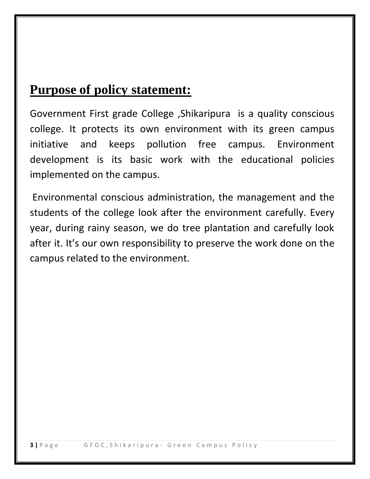### **Purpose of policy statement:**

Government First grade College ,Shikaripura is a quality conscious college. It protects its own environment with its green campus initiative and keeps pollution free campus. Environment development is its basic work with the educational policies implemented on the campus.

Environmental conscious administration, the management and the students of the college look after the environment carefully. Every year, during rainy season, we do tree plantation and carefully look after it. It's our own responsibility to preserve the work done on the campus related to the environment.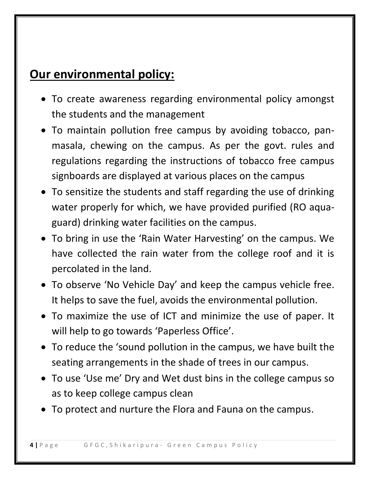### **Our environmental policy:**

- To create awareness regarding environmental policy amongst the students and the management
- To maintain pollution free campus by avoiding tobacco, panmasala, chewing on the campus. As per the govt. rules and regulations regarding the instructions of tobacco free campus signboards are displayed at various places on the campus
- To sensitize the students and staff regarding the use of drinking water properly for which, we have provided purified (RO aquaguard) drinking water facilities on the campus.
- To bring in use the 'Rain Water Harvesting' on the campus. We have collected the rain water from the college roof and it is percolated in the land.
- To observe 'No Vehicle Day' and keep the campus vehicle free. It helps to save the fuel, avoids the environmental pollution.
- To maximize the use of ICT and minimize the use of paper. It will help to go towards 'Paperless Office'.
- To reduce the 'sound pollution in the campus, we have built the seating arrangements in the shade of trees in our campus.
- To use 'Use me' Dry and Wet dust bins in the college campus so as to keep college campus clean
- To protect and nurture the Flora and Fauna on the campus.